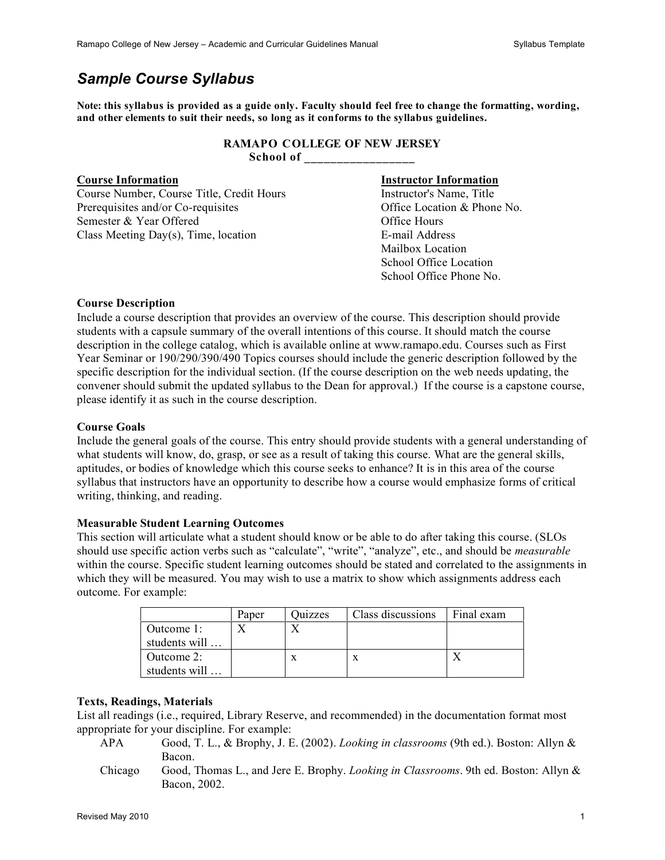## *Sample Course Syllabus*

**Note: this syllabus is provided as a guide only. Faculty should feel free to change the formatting, wording, and other elements to suit their needs, so long as it conforms to the syllabus guidelines.**

## **RAMAPO COLLEGE OF NEW JERSEY School of \_\_\_\_\_\_\_\_\_\_\_\_\_\_\_\_\_**

Course Number, Course Title, Credit Hours Instructor's Name, Title Prerequisites and/or Co-requisites **and/or** Co-requisites **Office Location & Phone No.** Semester & Year Offered Office Hours Class Meeting Day(s), Time, location E-mail Address

# **Course Information Instructor Information**

 Mailbox Location School Office Location School Office Phone No.

## **Course Description**

Include a course description that provides an overview of the course. This description should provide students with a capsule summary of the overall intentions of this course. It should match the course description in the college catalog, which is available online at www.ramapo.edu. Courses such as First Year Seminar or 190/290/390/490 Topics courses should include the generic description followed by the specific description for the individual section. (If the course description on the web needs updating, the convener should submit the updated syllabus to the Dean for approval.) If the course is a capstone course, please identify it as such in the course description.

## **Course Goals**

Include the general goals of the course. This entry should provide students with a general understanding of what students will know, do, grasp, or see as a result of taking this course. What are the general skills, aptitudes, or bodies of knowledge which this course seeks to enhance? It is in this area of the course syllabus that instructors have an opportunity to describe how a course would emphasize forms of critical writing, thinking, and reading.

## **Measurable Student Learning Outcomes**

This section will articulate what a student should know or be able to do after taking this course. (SLOs should use specific action verbs such as "calculate", "write", "analyze", etc., and should be *measurable* within the course. Specific student learning outcomes should be stated and correlated to the assignments in which they will be measured. You may wish to use a matrix to show which assignments address each outcome. For example:

|               | Paper | <b>Quizzes</b> | Class discussions | Final exam |
|---------------|-------|----------------|-------------------|------------|
| Outcome 1:    |       |                |                   |            |
| students will |       |                |                   |            |
| Outcome 2:    |       |                | X                 |            |
| students will |       |                |                   |            |

## **Texts, Readings, Materials**

List all readings (i.e., required, Library Reserve, and recommended) in the documentation format most appropriate for your discipline. For example:

- APA Good, T. L., & Brophy, J. E. (2002). *Looking in classrooms* (9th ed.). Boston: Allyn & Bacon.
- Chicago Good, Thomas L., and Jere E. Brophy. *Looking in Classrooms*. 9th ed. Boston: Allyn & Bacon, 2002.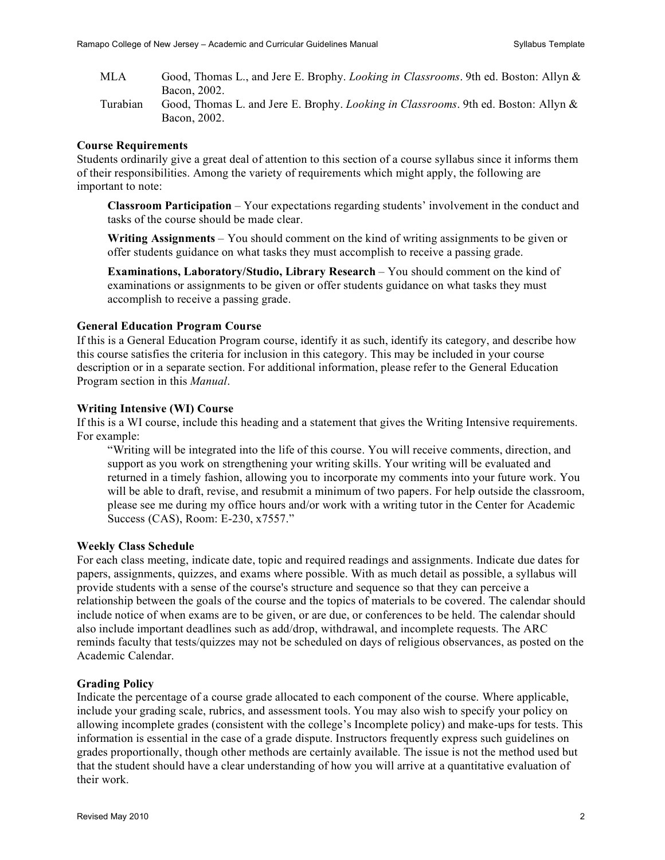- MLA Good, Thomas L., and Jere E. Brophy. *Looking in Classrooms*. 9th ed. Boston: Allyn & Bacon, 2002.
- Turabian Good, Thomas L. and Jere E. Brophy. *Looking in Classrooms*. 9th ed. Boston: Allyn & Bacon, 2002.

## **Course Requirements**

Students ordinarily give a great deal of attention to this section of a course syllabus since it informs them of their responsibilities. Among the variety of requirements which might apply, the following are important to note:

**Classroom Participation** – Your expectations regarding students' involvement in the conduct and tasks of the course should be made clear.

**Writing Assignments** – You should comment on the kind of writing assignments to be given or offer students guidance on what tasks they must accomplish to receive a passing grade.

**Examinations, Laboratory/Studio, Library Research** – You should comment on the kind of examinations or assignments to be given or offer students guidance on what tasks they must accomplish to receive a passing grade.

## **General Education Program Course**

If this is a General Education Program course, identify it as such, identify its category, and describe how this course satisfies the criteria for inclusion in this category. This may be included in your course description or in a separate section. For additional information, please refer to the General Education Program section in this *Manual*.

## **Writing Intensive (WI) Course**

If this is a WI course, include this heading and a statement that gives the Writing Intensive requirements. For example:

"Writing will be integrated into the life of this course. You will receive comments, direction, and support as you work on strengthening your writing skills. Your writing will be evaluated and returned in a timely fashion, allowing you to incorporate my comments into your future work. You will be able to draft, revise, and resubmit a minimum of two papers. For help outside the classroom, please see me during my office hours and/or work with a writing tutor in the Center for Academic Success (CAS), Room: E-230, x7557."

## **Weekly Class Schedule**

For each class meeting, indicate date, topic and required readings and assignments. Indicate due dates for papers, assignments, quizzes, and exams where possible. With as much detail as possible, a syllabus will provide students with a sense of the course's structure and sequence so that they can perceive a relationship between the goals of the course and the topics of materials to be covered. The calendar should include notice of when exams are to be given, or are due, or conferences to be held. The calendar should also include important deadlines such as add/drop, withdrawal, and incomplete requests. The ARC reminds faculty that tests/quizzes may not be scheduled on days of religious observances, as posted on the Academic Calendar.

## **Grading Policy**

Indicate the percentage of a course grade allocated to each component of the course. Where applicable, include your grading scale, rubrics, and assessment tools. You may also wish to specify your policy on allowing incomplete grades (consistent with the college's Incomplete policy) and make-ups for tests. This information is essential in the case of a grade dispute. Instructors frequently express such guidelines on grades proportionally, though other methods are certainly available. The issue is not the method used but that the student should have a clear understanding of how you will arrive at a quantitative evaluation of their work.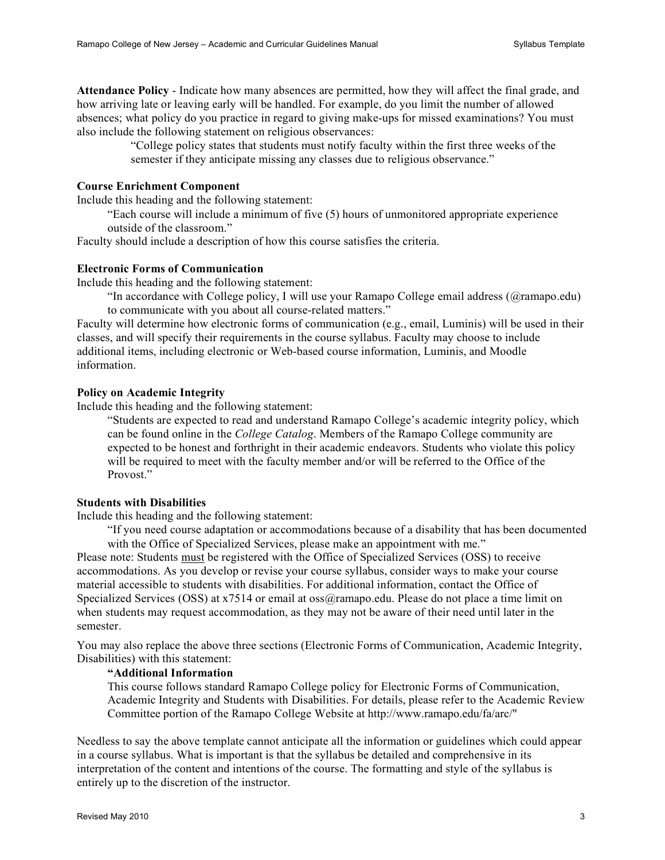**Attendance Policy** - Indicate how many absences are permitted, how they will affect the final grade, and how arriving late or leaving early will be handled. For example, do you limit the number of allowed absences; what policy do you practice in regard to giving make-ups for missed examinations? You must also include the following statement on religious observances:

> "College policy states that students must notify faculty within the first three weeks of the semester if they anticipate missing any classes due to religious observance."

#### **Course Enrichment Component**

Include this heading and the following statement:

"Each course will include a minimum of five (5) hours of unmonitored appropriate experience outside of the classroom."

Faculty should include a description of how this course satisfies the criteria.

#### **Electronic Forms of Communication**

Include this heading and the following statement:

"In accordance with College policy, I will use your Ramapo College email address (@ramapo.edu) to communicate with you about all course-related matters."

Faculty will determine how electronic forms of communication (e.g., email, Luminis) will be used in their classes, and will specify their requirements in the course syllabus. Faculty may choose to include additional items, including electronic or Web-based course information, Luminis, and Moodle information.

## **Policy on Academic Integrity**

Include this heading and the following statement:

"Students are expected to read and understand Ramapo College's academic integrity policy, which can be found online in the *College Catalog*. Members of the Ramapo College community are expected to be honest and forthright in their academic endeavors. Students who violate this policy will be required to meet with the faculty member and/or will be referred to the Office of the Provost."

## **Students with Disabilities**

Include this heading and the following statement:

"If you need course adaptation or accommodations because of a disability that has been documented with the Office of Specialized Services, please make an appointment with me."

Please note: Students must be registered with the Office of Specialized Services (OSS) to receive accommodations. As you develop or revise your course syllabus, consider ways to make your course material accessible to students with disabilities. For additional information, contact the Office of Specialized Services (OSS) at x7514 or email at oss@ramapo.edu. Please do not place a time limit on when students may request accommodation, as they may not be aware of their need until later in the semester.

You may also replace the above three sections (Electronic Forms of Communication, Academic Integrity, Disabilities) with this statement:

## **"Additional Information**

This course follows standard Ramapo College policy for Electronic Forms of Communication, Academic Integrity and Students with Disabilities. For details, please refer to the Academic Review Committee portion of the Ramapo College Website at http://www.ramapo.edu/fa/arc/"

Needless to say the above template cannot anticipate all the information or guidelines which could appear in a course syllabus. What is important is that the syllabus be detailed and comprehensive in its interpretation of the content and intentions of the course. The formatting and style of the syllabus is entirely up to the discretion of the instructor.